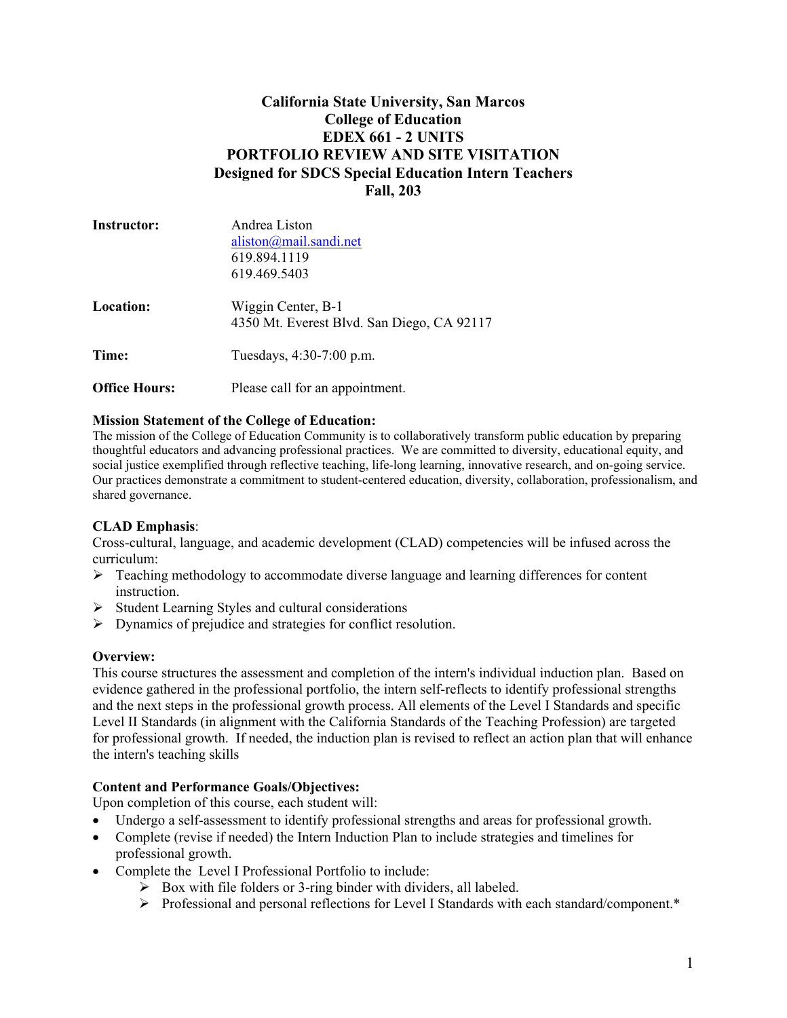## **California State University, San Marcos College of Education EDEX 661 - 2 UNITS PORTFOLIO REVIEW AND SITE VISITATION Designed for SDCS Special Education Intern Teachers Fall, 203**

| <b>Instructor:</b>   | Andrea Liston                                                    |  |
|----------------------|------------------------------------------------------------------|--|
|                      | aliston@mail.sandi.net                                           |  |
|                      | 619.894.1119                                                     |  |
|                      | 619.469.5403                                                     |  |
| Location:            | Wiggin Center, B-1<br>4350 Mt. Everest Blvd. San Diego, CA 92117 |  |
| Time:                | Tuesdays, 4:30-7:00 p.m.                                         |  |
| <b>Office Hours:</b> | Please call for an appointment.                                  |  |

#### **Mission Statement of the College of Education:**

The mission of the College of Education Community is to collaboratively transform public education by preparing thoughtful educators and advancing professional practices. We are committed to diversity, educational equity, and social justice exemplified through reflective teaching, life-long learning, innovative research, and on-going service. Our practices demonstrate a commitment to student-centered education, diversity, collaboration, professionalism, and shared governance.

## **CLAD Emphasis**:

Cross-cultural, language, and academic development (CLAD) competencies will be infused across the curriculum:

- $\triangleright$  Teaching methodology to accommodate diverse language and learning differences for content instruction.
- $\triangleright$  Student Learning Styles and cultural considerations
- $\triangleright$  Dynamics of prejudice and strategies for conflict resolution.

## **Overview:**

This course structures the assessment and completion of the intern's individual induction plan. Based on evidence gathered in the professional portfolio, the intern self-reflects to identify professional strengths and the next steps in the professional growth process. All elements of the Level I Standards and specific Level II Standards (in alignment with the California Standards of the Teaching Profession) are targeted for professional growth. If needed, the induction plan is revised to reflect an action plan that will enhance the intern's teaching skills

## **Content and Performance Goals/Objectives:**

Upon completion of this course, each student will:

- Undergo a self-assessment to identify professional strengths and areas for professional growth.
- Complete (revise if needed) the Intern Induction Plan to include strategies and timelines for professional growth.
- Complete the Level I Professional Portfolio to include:
	- $\triangleright$  Box with file folders or 3-ring binder with dividers, all labeled.
	- $\triangleright$  Professional and personal reflections for Level I Standards with each standard/component.\*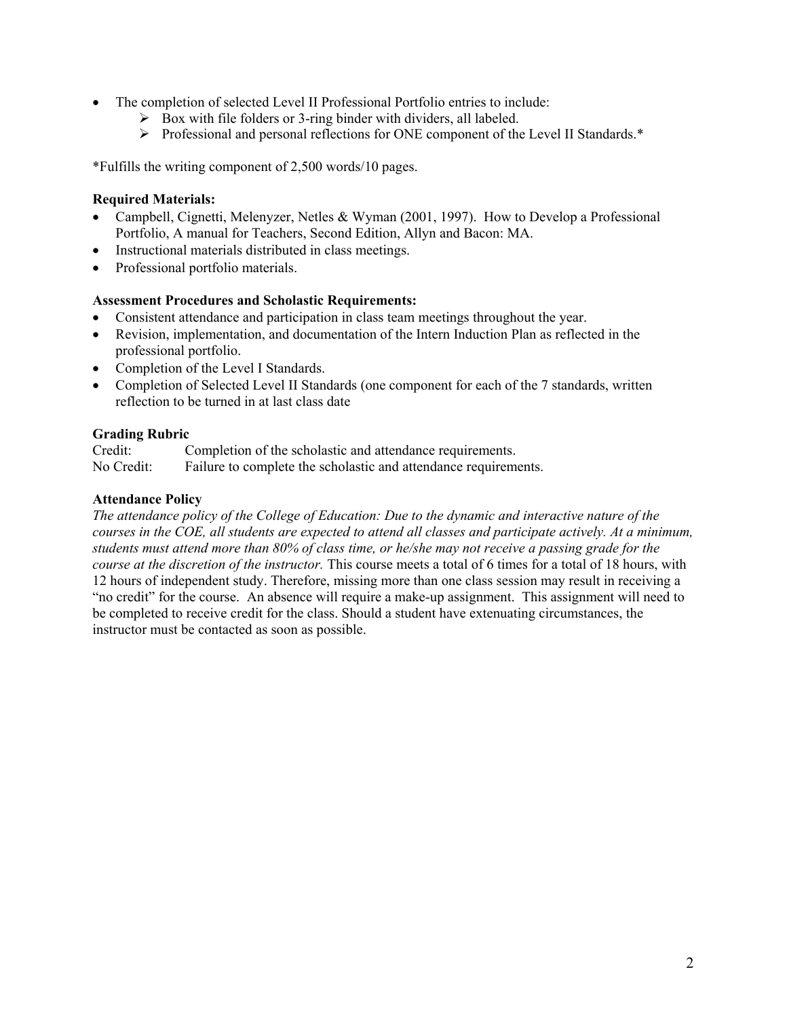- The completion of selected Level II Professional Portfolio entries to include:
	- $\triangleright$  Box with file folders or 3-ring binder with dividers, all labeled.
	- ¾ Professional and personal reflections for ONE component of the Level II Standards.\*

\*Fulfills the writing component of 2,500 words/10 pages.

#### **Required Materials:**

- Campbell, Cignetti, Melenyzer, Netles & Wyman (2001, 1997). How to Develop a Professional Portfolio, A manual for Teachers, Second Edition, Allyn and Bacon: MA.
- Instructional materials distributed in class meetings.
- Professional portfolio materials.

#### **Assessment Procedures and Scholastic Requirements:**

- Consistent attendance and participation in class team meetings throughout the year.
- Revision, implementation, and documentation of the Intern Induction Plan as reflected in the professional portfolio.
- Completion of the Level I Standards.
- Completion of Selected Level II Standards (one component for each of the 7 standards, written reflection to be turned in at last class date

#### **Grading Rubric**

Credit: Completion of the scholastic and attendance requirements. No Credit: Failure to complete the scholastic and attendance requirements.

#### **Attendance Policy**

*The attendance policy of the College of Education: Due to the dynamic and interactive nature of the courses in the COE, all students are expected to attend all classes and participate actively. At a minimum, students must attend more than 80% of class time, or he/she may not receive a passing grade for the course at the discretion of the instructor.* This course meets a total of 6 times for a total of 18 hours, with 12 hours of independent study. Therefore, missing more than one class session may result in receiving a "no credit" for the course. An absence will require a make-up assignment. This assignment will need to be completed to receive credit for the class. Should a student have extenuating circumstances, the instructor must be contacted as soon as possible.